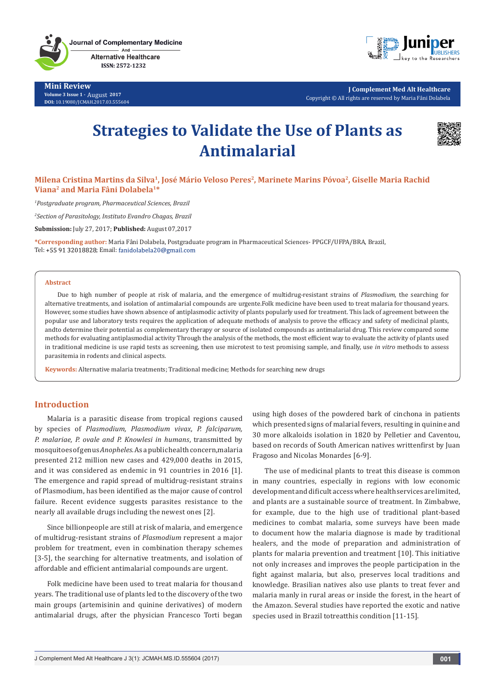ISSN: 2572-1232

**Mini Review Volume 3 Issue 1 -** August**<sup>2017</sup> DOI:** [10.19080/JCMAH.2017.03.555604](http://dx.doi.org/10.19080/JCMAH.2017.03.555604)



**J Complement Med Alt Healthcare** Copyright © All rights are reserved by Maria Fâni Dolabela

# **Strategies to Validate the Use of Plants as Antimalarial**



**Milena Cristina Martins da Silva1, José Mário Veloso Peres2, Marinete Marins Póvoa2, Giselle Maria Rachid Viana2 and Maria Fâni Dolabela1\***

*1 Postgraduate program, Pharmaceutical Sciences, Brazil*

*2 Section of Parasitology, Instituto Evandro Chagas, Brazil*

**Submission:** July 27, 2017; **Published:** August 07,2017

**\*Corresponding author:** Maria Fâni Dolabela, Postgraduate program in Pharmaceutical Sciences- PPGCF/UFPA/BRA, Brazil, Tel: +55 91 32018828; Email: fanidolabela20@gmail.com

#### **Abstract**

Due to high number of people at risk of malaria, and the emergence of multidrug-resistant strains of *Plasmodium*, the searching for alternative treatments, and isolation of antimalarial compounds are urgente.Folk medicine have been used to treat malaria for thousand years. However, some studies have shown absence of antiplasmodic activity of plants popularly used for treatment. This lack of agreement between the popular use and laboratory tests requires the application of adequate methods of analysis to prove the efficacy and safety of medicinal plants, andto determine their potential as complementary therapy or source of isolated compounds as antimalarial drug. This review compared some methods for evaluating antiplasmodial activity Through the analysis of the methods, the most efficient way to evaluate the activity of plants used in traditional medicine is use rapid tests as screening, then use microtest to test promising sample, and finally, use *in vitro* methods to assess parasitemia in rodents and clinical aspects.

**Keywords:** Alternative malaria treatments; Traditional medicine; Methods for searching new drugs

# **Introduction**

Malaria is a parasitic disease from tropical regions caused by species of *Plasmodium, Plasmodium vivax*, *P. falciparum, P. malariae, P. ovale and P. Knowlesi in humans*, transmitted by mosquitoes of genus *Anopheles.* As a public health concern,malaria presented 212 million new cases and 429,000 deaths in 2015, and it was considered as endemic in 91 countries in 2016 [1]. The emergence and rapid spread of multidrug-resistant strains of Plasmodium, has been identified as the major cause of control failure. Recent evidence suggests parasites resistance to the nearly all available drugs including the newest ones [2].

Since billionpeople are still at risk of malaria, and emergence of multidrug-resistant strains of *Plasmodium* represent a major problem for treatment, even in combination therapy schemes [3-5], the searching for alternative treatments, and isolation of affordable and efficient antimalarial compounds are urgent.

Folk medicine have been used to treat malaria for thousand years. The traditional use of plants led to the discovery of the two main groups (artemisinin and quinine derivatives) of modern antimalarial drugs, after the physician Francesco Torti began using high doses of the powdered bark of cinchona in patients which presented signs of malarial fevers, resulting in quinine and 30 more alkaloids isolation in 1820 by Pelletier and Caventou, based on records of South American natives writtenfirst by Juan Fragoso and Nicolas Monardes [6-9].

The use of medicinal plants to treat this disease is common in many countries, especially in regions with low economic development and dificult access where health services are limited, and plants are a sustainable source of treatment. In Zimbabwe, for example, due to the high use of traditional plant-based medicines to combat malaria, some surveys have been made to document how the malaria diagnose is made by traditional healers, and the mode of preparation and administration of plants for malaria prevention and treatment [10]. This initiative not only increases and improves the people participation in the fight against malaria, but also, preserves local traditions and knowledge. Brasilian natives also use plants to treat fever and malaria manly in rural areas or inside the forest, in the heart of the Amazon. Several studies have reported the exotic and native species used in Brazil totreatthis condition [11-15].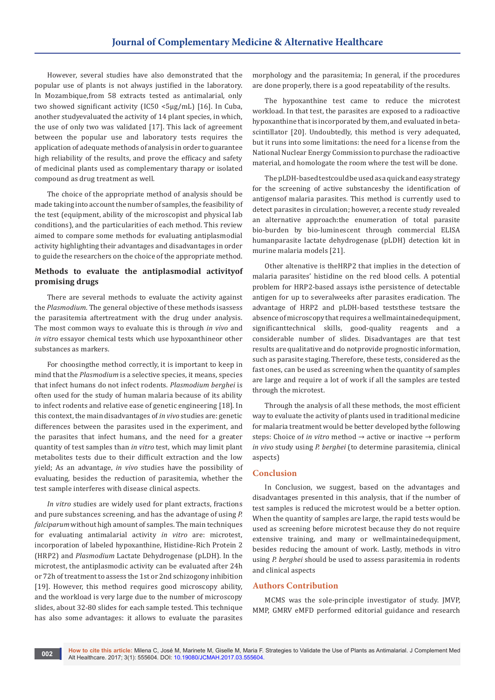However, several studies have also demonstrated that the popular use of plants is not always justified in the laboratory. In Mozambique,from 58 extracts tested as antimalarial, only two showed significant activity (IC50 <5μg/mL) [16]. In Cuba, another studyevaluated the activity of 14 plant species, in which, the use of only two was validated [17]. This lack of agreement between the popular use and laboratory tests requires the application of adequate methods of analysis in order to guarantee high reliability of the results, and prove the efficacy and safety of medicinal plants used as complementary tharapy or isolated compound as drug treatment as well.

The choice of the appropriate method of analysis should be made taking into account the number of samples, the feasibility of the test (equipment, ability of the microscopist and physical lab conditions), and the particularities of each method. This review aimed to compare some methods for evaluating antiplasmodial activity highlighting their advantages and disadvantages in order to guide the researchers on the choice of the appropriate method.

# **Methods to evaluate the antiplasmodial activityof promising drugs**

There are several methods to evaluate the activity against the *Plasmodium*. The general objective of these methods isassess the parasitemia aftertreatment with the drug under analysis. The most common ways to evaluate this is through *in vivo* and *in vitro* essayor chemical tests which use hypoxanthineor other substances as markers.

For choosingthe method correctly, it is important to keep in mind that the *Plasmodium* is a selective species, it means, species that infect humans do not infect rodents. *Plasmodium berghei* is often used for the study of human malaria because of its ability to infect rodents and relative ease of genetic engineering [18]. In this context, the main disadvantages of *in vivo* studies are: genetic differences between the parasites used in the experiment, and the parasites that infect humans, and the need for a greater quantity of test samples than *in vitro* test, which may limit plant metabolites tests due to their difficult extraction and the low yield; As an advantage, *in vivo* studies have the possibility of evaluating, besides the reduction of parasitemia, whether the test sample interferes with disease clinical aspects.

*In vitro* studies are widely used for plant extracts, fractions and pure substances screening, and has the advantage of using *P. falciparum* without high amount of samples. The main techniques for evaluating antimalarial activity *in vitro* are: microtest, incorporation of labeled hypoxanthine, Histidine-Rich Protein 2 (HRP2) and *Plasmodium* Lactate Dehydrogenase (pLDH). In the microtest, the antiplasmodic activity can be evaluated after 24h or 72h of treatment to assess the 1st or 2nd schizogony inhibition [19]. However, this method requires good microscopy ability, and the workload is very large due to the number of microscopy slides, about 32-80 slides for each sample tested. This technique has also some advantages: it allows to evaluate the parasites morphology and the parasitemia; In general, if the procedures are done properly, there is a good repeatability of the results.

The hypoxanthine test came to reduce the microtest workload. In that test, the parasites are exposed to a radioactive hypoxanthine that is incorporated by them, and evaluated in betascintillator [20]. Undoubtedly, this method is very adequated, but it runs into some limitations: the need for a license from the National Nuclear Energy Commission to purchase the radioactive material, and homologate the room where the test will be done.

The pLDH-based testcould be used as a quick and easy strategy for the screening of active substancesby the identification of antigensof malaria parasites. This method is currently used to detect parasites in circulation; however, a recente study revealed an alternative approach:the enumeration of total parasite bio-burden by bio-luminescent through commercial ELISA humanparasite lactate dehydrogenase (pLDH) detection kit in murine malaria models [21].

Other altenative is theHRP2 that implies in the detection of malaria parasites' histidine on the red blood cells. A potential problem for HRP2-based assays isthe persistence of detectable antigen for up to severalweeks after parasites eradication. The advantage of HRP2 and pLDH-based teststhese testsare the absence of microscopy that requires a wellmaintainedequipment, significanttechnical skills, good-quality reagents and a considerable number of slides. Disadvantages are that test results are qualitative and do notprovide prognostic information, such as parasite staging. Therefore, these tests, considered as the fast ones, can be used as screening when the quantity of samples are large and require a lot of work if all the samples are tested through the microtest.

Through the analysis of all these methods, the most efficient way to evaluate the activity of plants used in traditional medicine for malaria treatment would be better developed bythe following steps: Choice of *in vitro* method → active or inactive → perform *in vivo* study using *P. berghei* (to determine parasitemia, clinical aspects)

# **Conclusion**

In Conclusion, we suggest, based on the advantages and disadvantages presented in this analysis, that if the number of test samples is reduced the microtest would be a better option. When the quantity of samples are large, the rapid tests would be used as screening before microtest because they do not require extensive training, and many or wellmaintainedequipment, besides reducing the amount of work. Lastly, methods in vitro using *P. berghei* should be used to assess parasitemia in rodents and clinical aspects

# **Authors Contribution**

MCMS was the sole-principle investigator of study. JMVP, MMP, GMRV eMFD performed editorial guidance and research